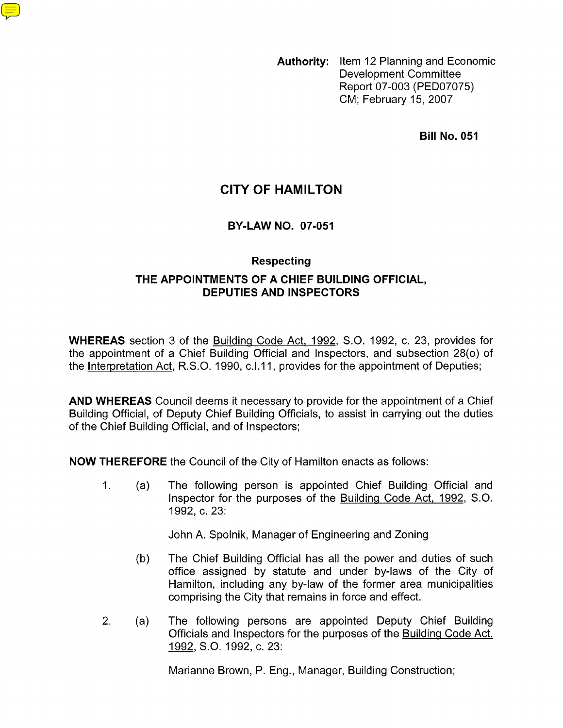**Authority:** Item 12 Planning and Economic Development Committee Report 07-003 (PED07075) CM; February 15,2007

**Bill No. 051** 

# **CITY OF HAMILTON**

#### **BY-LAW NO. 07-051**

#### **Respecting**

### **THE APPOINTMENTS OF A CHIEF BUILDING OFFICIAL, DEPUTIES AND INSPECTORS**

**WHEREAS** section 3 of the Building Code Act, 1992, S.O. 1992, c. 23, provides for the appointment of a Chief Building Official and Inspectors, and subsection 28(0) of the Interpretation Act, R.S.O. 1990, c.I.11, provides for the appointment of Deputies;

**AND WHEREAS** Council deems it necessary to provide for the appointment of a Chief Building Official, of Deputy Chief Building Officials, to assist in carrying out the duties of the Chief Building Official, and of Inspectors;

**NOW THEREFORE** the Council of the City of Hamilton enacts as follows:

 $1<sub>1</sub>$ The following person is appointed Chief Building Official and  $(a)$ Inspector for the purposes of the Building Code Act, 1992, S.O. 1992, c. 23:

John A. Spolnik, Manager of Engineering and Zoning

- The Chief Building Official has all the power and duties of such  $(b)$ office assigned by statute and under by-laws of the City of Hamilton, including any by-law of the former area municipalities comprising the City that remains in force and effect.
- $2.$ The following persons are appointed Deputy Chief Building  $(a)$ Officials and Inspectors for the purposes of the Building Code Act, 1992, S.O. 1992, c. 23:

Marianne Brown, P. Eng., Manager, Building Construction;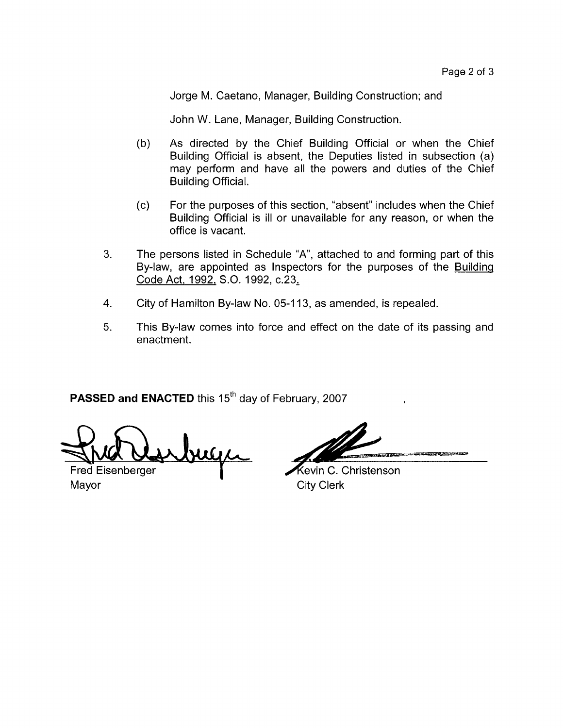Jorge M. Caetano, Manager, Building Construction; and

John W. Lane, Manager, Building Construction.

- $(b)$ As directed by the Chief Building Official or when the Chief Building Official is absent, the Deputies listed in subsection (a) may perform and have all the powers and duties of the Chief Building Official.
- $(c)$ For the purposes of this section, "absent" includes when the Chief Building Official is ill or unavailable for any reason, or when the office is vacant.
- 3. The persons listed in Schedule "A", attached to and forming part of this By-law, are appointed as Inspectors for the purposes of the Building Code Act, 1992, S.O. 1992, c.23,
- City of Hamilton By-law No. 05-1 13, as amended, is repealed. **4.**
- This By-law comes into force and effect on the date of its passing and enactment. 5.

**PASSED and ENACTED** this 15<sup>th</sup> day of February, 2007

**Fred Eisenberger** 

Mayor City Clerk

July Levin C. Christenson